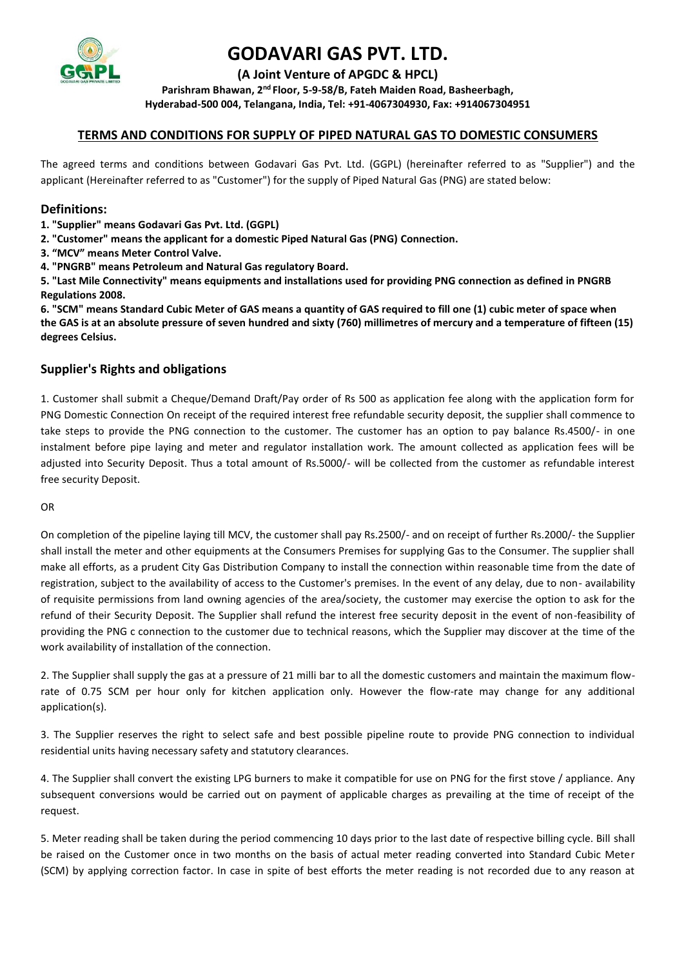

**(A Joint Venture of APGDC & HPCL)**

**Parishram Bhawan, 2nd Floor, 5-9-58/B, Fateh Maiden Road, Basheerbagh, Hyderabad-500 004, Telangana, India, Tel: +91-4067304930, Fax: +914067304951**

## **TERMS AND CONDITIONS FOR SUPPLY OF PIPED NATURAL GAS TO DOMESTIC CONSUMERS**

The agreed terms and conditions between Godavari Gas Pvt. Ltd. (GGPL) (hereinafter referred to as "Supplier") and the applicant (Hereinafter referred to as "Customer") for the supply of Piped Natural Gas (PNG) are stated below:

### **Definitions:**

- **1. "Supplier" means Godavari Gas Pvt. Ltd. (GGPL)**
- **2. "Customer" means the applicant for a domestic Piped Natural Gas (PNG) Connection.**
- **3. "MCV" means Meter Control Valve.**
- **4. "PNGRB" means Petroleum and Natural Gas regulatory Board.**

**5. "Last Mile Connectivity" means equipments and installations used for providing PNG connection as defined in PNGRB Regulations 2008.** 

**6. "SCM" means Standard Cubic Meter of GAS means a quantity of GAS required to fill one (1) cubic meter of space when the GAS is at an absolute pressure of seven hundred and sixty (760) millimetres of mercury and a temperature of fifteen (15) degrees Celsius.**

## **Supplier's Rights and obligations**

1. Customer shall submit a Cheque/Demand Draft/Pay order of Rs 500 as application fee along with the application form for PNG Domestic Connection On receipt of the required interest free refundable security deposit, the supplier shall commence to take steps to provide the PNG connection to the customer. The customer has an option to pay balance Rs.4500/- in one instalment before pipe laying and meter and regulator installation work. The amount collected as application fees will be adjusted into Security Deposit. Thus a total amount of Rs.5000/- will be collected from the customer as refundable interest free security Deposit.

OR

On completion of the pipeline laying till MCV, the customer shall pay Rs.2500/- and on receipt of further Rs.2000/- the Supplier shall install the meter and other equipments at the Consumers Premises for supplying Gas to the Consumer. The supplier shall make all efforts, as a prudent City Gas Distribution Company to install the connection within reasonable time from the date of registration, subject to the availability of access to the Customer's premises. In the event of any delay, due to non- availability of requisite permissions from land owning agencies of the area/society, the customer may exercise the option to ask for the refund of their Security Deposit. The Supplier shall refund the interest free security deposit in the event of non-feasibility of providing the PNG c connection to the customer due to technical reasons, which the Supplier may discover at the time of the work availability of installation of the connection.

2. The Supplier shall supply the gas at a pressure of 21 milli bar to all the domestic customers and maintain the maximum flowrate of 0.75 SCM per hour only for kitchen application only. However the flow-rate may change for any additional application(s).

3. The Supplier reserves the right to select safe and best possible pipeline route to provide PNG connection to individual residential units having necessary safety and statutory clearances.

4. The Supplier shall convert the existing LPG burners to make it compatible for use on PNG for the first stove / appliance. Any subsequent conversions would be carried out on payment of applicable charges as prevailing at the time of receipt of the request.

5. Meter reading shall be taken during the period commencing 10 days prior to the last date of respective billing cycle. Bill shall be raised on the Customer once in two months on the basis of actual meter reading converted into Standard Cubic Meter (SCM) by applying correction factor. In case in spite of best efforts the meter reading is not recorded due to any reason at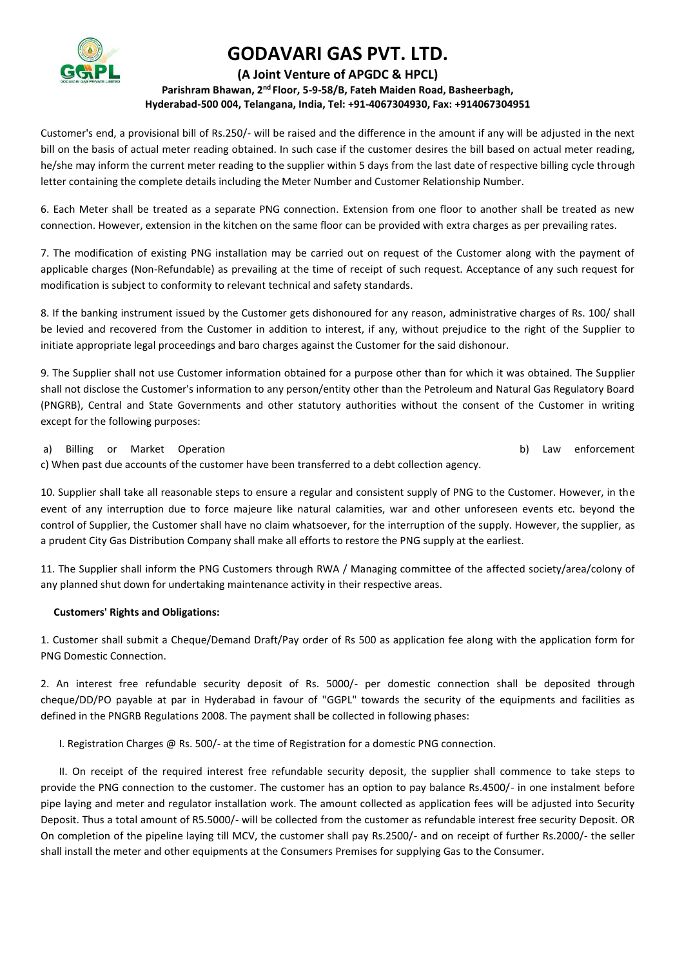

### **(A Joint Venture of APGDC & HPCL) Parishram Bhawan, 2nd Floor, 5-9-58/B, Fateh Maiden Road, Basheerbagh, Hyderabad-500 004, Telangana, India, Tel: +91-4067304930, Fax: +914067304951**

Customer's end, a provisional bill of Rs.250/- will be raised and the difference in the amount if any will be adjusted in the next bill on the basis of actual meter reading obtained. In such case if the customer desires the bill based on actual meter reading, he/she may inform the current meter reading to the supplier within 5 days from the last date of respective billing cycle through letter containing the complete details including the Meter Number and Customer Relationship Number.

6. Each Meter shall be treated as a separate PNG connection. Extension from one floor to another shall be treated as new connection. However, extension in the kitchen on the same floor can be provided with extra charges as per prevailing rates.

7. The modification of existing PNG installation may be carried out on request of the Customer along with the payment of applicable charges (Non-Refundable) as prevailing at the time of receipt of such request. Acceptance of any such request for modification is subject to conformity to relevant technical and safety standards.

8. If the banking instrument issued by the Customer gets dishonoured for any reason, administrative charges of Rs. 100/ shall be levied and recovered from the Customer in addition to interest, if any, without prejudice to the right of the Supplier to initiate appropriate legal proceedings and baro charges against the Customer for the said dishonour.

9. The Supplier shall not use Customer information obtained for a purpose other than for which it was obtained. The Supplier shall not disclose the Customer's information to any person/entity other than the Petroleum and Natural Gas Regulatory Board (PNGRB), Central and State Governments and other statutory authorities without the consent of the Customer in writing except for the following purposes:

a) Billing or Market Operation b) Law enforcement

c) When past due accounts of the customer have been transferred to a debt collection agency.

10. Supplier shall take all reasonable steps to ensure a regular and consistent supply of PNG to the Customer. However, in the event of any interruption due to force majeure like natural calamities, war and other unforeseen events etc. beyond the control of Supplier, the Customer shall have no claim whatsoever, for the interruption of the supply. However, the supplier, as a prudent City Gas Distribution Company shall make all efforts to restore the PNG supply at the earliest.

11. The Supplier shall inform the PNG Customers through RWA / Managing committee of the affected society/area/colony of any planned shut down for undertaking maintenance activity in their respective areas.

#### **Customers' Rights and Obligations:**

1. Customer shall submit a Cheque/Demand Draft/Pay order of Rs 500 as application fee along with the application form for PNG Domestic Connection.

2. An interest free refundable security deposit of Rs. 5000/- per domestic connection shall be deposited through cheque/DD/PO payable at par in Hyderabad in favour of "GGPL" towards the security of the equipments and facilities as defined in the PNGRB Regulations 2008. The payment shall be collected in following phases:

I. Registration Charges @ Rs. 500/- at the time of Registration for a domestic PNG connection.

 II. On receipt of the required interest free refundable security deposit, the supplier shall commence to take steps to provide the PNG connection to the customer. The customer has an option to pay balance Rs.4500/- in one instalment before pipe laying and meter and regulator installation work. The amount collected as application fees will be adjusted into Security Deposit. Thus a total amount of R5.5000/- will be collected from the customer as refundable interest free security Deposit. OR On completion of the pipeline laying till MCV, the customer shall pay Rs.2500/- and on receipt of further Rs.2000/- the seller shall install the meter and other equipments at the Consumers Premises for supplying Gas to the Consumer.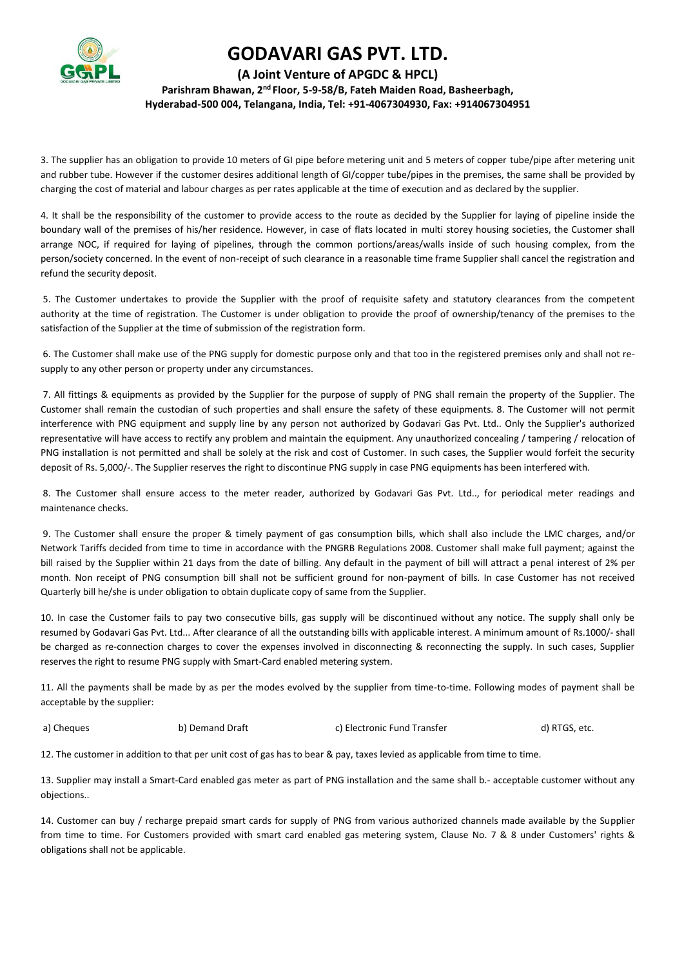

### **(A Joint Venture of APGDC & HPCL) Parishram Bhawan, 2nd Floor, 5-9-58/B, Fateh Maiden Road, Basheerbagh, Hyderabad-500 004, Telangana, India, Tel: +91-4067304930, Fax: +914067304951**

3. The supplier has an obligation to provide 10 meters of GI pipe before metering unit and 5 meters of copper tube/pipe after metering unit and rubber tube. However if the customer desires additional length of GI/copper tube/pipes in the premises, the same shall be provided by charging the cost of material and labour charges as per rates applicable at the time of execution and as declared by the supplier.

4. It shall be the responsibility of the customer to provide access to the route as decided by the Supplier for laying of pipeline inside the boundary wall of the premises of his/her residence. However, in case of flats located in multi storey housing societies, the Customer shall arrange NOC, if required for laying of pipelines, through the common portions/areas/walls inside of such housing complex, from the person/society concerned. In the event of non-receipt of such clearance in a reasonable time frame Supplier shall cancel the registration and refund the security deposit.

5. The Customer undertakes to provide the Supplier with the proof of requisite safety and statutory clearances from the competent authority at the time of registration. The Customer is under obligation to provide the proof of ownership/tenancy of the premises to the satisfaction of the Supplier at the time of submission of the registration form.

6. The Customer shall make use of the PNG supply for domestic purpose only and that too in the registered premises only and shall not resupply to any other person or property under any circumstances.

7. All fittings & equipments as provided by the Supplier for the purpose of supply of PNG shall remain the property of the Supplier. The Customer shall remain the custodian of such properties and shall ensure the safety of these equipments. 8. The Customer will not permit interference with PNG equipment and supply line by any person not authorized by Godavari Gas Pvt. Ltd.. Only the Supplier's authorized representative will have access to rectify any problem and maintain the equipment. Any unauthorized concealing / tampering / relocation of PNG installation is not permitted and shall be solely at the risk and cost of Customer. In such cases, the Supplier would forfeit the security deposit of Rs. 5,000/-. The Supplier reserves the right to discontinue PNG supply in case PNG equipments has been interfered with.

8. The Customer shall ensure access to the meter reader, authorized by Godavari Gas Pvt. Ltd.., for periodical meter readings and maintenance checks.

9. The Customer shall ensure the proper & timely payment of gas consumption bills, which shall also include the LMC charges, and/or Network Tariffs decided from time to time in accordance with the PNGRB Regulations 2008. Customer shall make full payment; against the bill raised by the Supplier within 21 days from the date of billing. Any default in the payment of bill will attract a penal interest of 2% per month. Non receipt of PNG consumption bill shall not be sufficient ground for non-payment of bills. In case Customer has not received Quarterly bill he/she is under obligation to obtain duplicate copy of same from the Supplier.

10. In case the Customer fails to pay two consecutive bills, gas supply will be discontinued without any notice. The supply shall only be resumed by Godavari Gas Pvt. Ltd... After clearance of all the outstanding bills with applicable interest. A minimum amount of Rs.1000/- shall be charged as re-connection charges to cover the expenses involved in disconnecting & reconnecting the supply. In such cases, Supplier reserves the right to resume PNG supply with Smart-Card enabled metering system.

11. All the payments shall be made by as per the modes evolved by the supplier from time-to-time. Following modes of payment shall be acceptable by the supplier:

a) Cheques b) Demand Draft c) Electronic Fund Transfer d) RTGS, etc.

12. The customer in addition to that per unit cost of gas has to bear & pay, taxes levied as applicable from time to time.

13. Supplier may install a Smart-Card enabled gas meter as part of PNG installation and the same shall b.- acceptable customer without any objections..

14. Customer can buy / recharge prepaid smart cards for supply of PNG from various authorized channels made available by the Supplier from time to time. For Customers provided with smart card enabled gas metering system, Clause No. 7 & 8 under Customers' rights & obligations shall not be applicable.